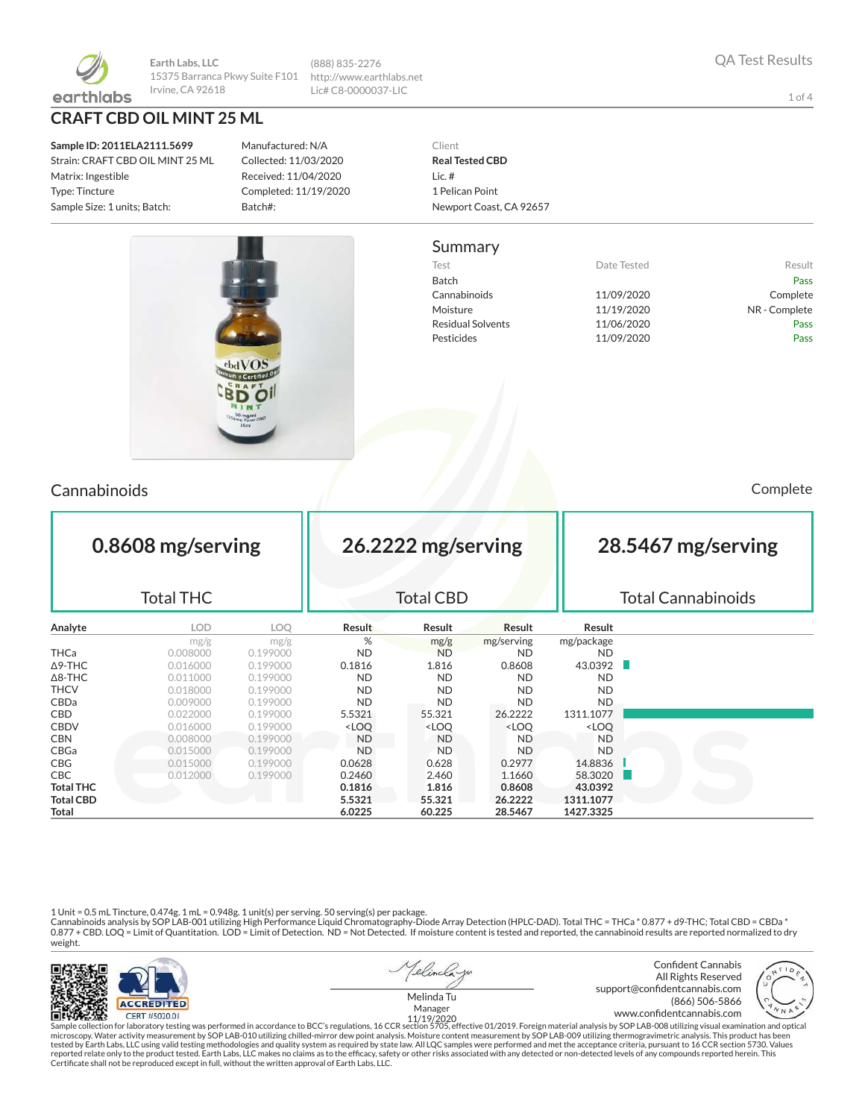

**Earth Labs, LLC** 15375 Barranca Pkwy Suite F101 Irvine, CA 92618

**CRAFT CBD OIL MINT 25 ML**

**Sample ID: 2011ELA2111.5699** Strain: CRAFT CBD OIL MINT 25 ML Matrix: Ingestible Type: Tincture Sample Size: 1 units; Batch:

Manufactured: N/A Collected: 11/03/2020 Received: 11/04/2020 Completed: 11/19/2020 Batch#:

(888) 835-2276 http://www.earthlabs.net Lic# C8-0000037-LIC



#### Summary

Test **Test Result** Date Tested **Result** Batch Pass Cannabinoids 11/09/2020 Complete Moisture 11/19/2020 NR - Complete Residual Solvents **11/06/2020** Pass Pesticides **11/09/2020** Pass



Cannabinoids Complete

| 0.8608 mg/serving<br><b>Total THC</b> |            |            | 26.2222 mg/serving<br><b>Total CBD</b>                                                                           |                                                                                      |                                                          |                              | 28.5467 mg/serving<br><b>Total Cannabinoids</b> |  |  |
|---------------------------------------|------------|------------|------------------------------------------------------------------------------------------------------------------|--------------------------------------------------------------------------------------|----------------------------------------------------------|------------------------------|-------------------------------------------------|--|--|
| Analyte                               | <b>LOD</b> | <b>LOQ</b> | Result                                                                                                           | Result                                                                               | Result                                                   | Result                       |                                                 |  |  |
|                                       | mg/g       | mg/g       | %                                                                                                                | mg/g                                                                                 | mg/serving                                               | mg/package                   |                                                 |  |  |
| THCa                                  | 0.008000   | 0.199000   | <b>ND</b>                                                                                                        | <b>ND</b>                                                                            | <b>ND</b>                                                | <b>ND</b>                    |                                                 |  |  |
| Δ9-THC                                | 0.016000   | 0.199000   | 0.1816                                                                                                           | 1.816                                                                                | 0.8608                                                   | 43.0392                      |                                                 |  |  |
| ∆8-THC                                | 0.011000   | 0.199000   | <b>ND</b>                                                                                                        | <b>ND</b>                                                                            | <b>ND</b>                                                | <b>ND</b>                    |                                                 |  |  |
| THCV                                  | 0.018000   | 0.199000   | <b>ND</b>                                                                                                        | <b>ND</b>                                                                            | <b>ND</b>                                                | <b>ND</b>                    |                                                 |  |  |
| CBDa                                  | 0.009000   | 0.199000   | <b>ND</b>                                                                                                        | <b>ND</b>                                                                            | <b>ND</b>                                                | <b>ND</b>                    |                                                 |  |  |
| CBD                                   | 0.022000   | 0.199000   | 5.5321                                                                                                           | 55.321                                                                               | 26.2222                                                  | 1311.1077                    |                                                 |  |  |
| <b>CBDV</b>                           | 0.016000   | 0.199000   | <loq< th=""><th><loq< th=""><th><loq< th=""><th><loq< th=""><th></th></loq<></th></loq<></th></loq<></th></loq<> | <loq< th=""><th><loq< th=""><th><loq< th=""><th></th></loq<></th></loq<></th></loq<> | <loq< th=""><th><loq< th=""><th></th></loq<></th></loq<> | <loq< th=""><th></th></loq<> |                                                 |  |  |
| <b>CBN</b>                            | 0.008000   | 0.199000   | <b>ND</b>                                                                                                        | ND.                                                                                  | <b>ND</b>                                                | <b>ND</b>                    |                                                 |  |  |
| CBGa                                  | 0.015000   | 0.199000   | <b>ND</b>                                                                                                        | <b>ND</b>                                                                            | <b>ND</b>                                                | <b>ND</b>                    |                                                 |  |  |
| CBG                                   | 0.015000   | 0.199000   | 0.0628                                                                                                           | 0.628                                                                                | 0.2977                                                   | 14.8836                      |                                                 |  |  |
| CBC.                                  | 0.012000   | 0.199000   | 0.2460                                                                                                           | 2.460                                                                                | 1.1660                                                   | 58.3020                      |                                                 |  |  |
| <b>Total THC</b>                      |            |            | 0.1816                                                                                                           | 1.816                                                                                | 0.8608                                                   | 43.0392                      |                                                 |  |  |
| <b>Total CBD</b>                      |            |            | 5.5321                                                                                                           | 55.321                                                                               | 26.2222                                                  | 1311.1077                    |                                                 |  |  |

1 Unit = 0.5 mL Tincture, 0.474g. 1 mL = 0.948g. 1 unit(s) per serving. 50 serving(s) per package.<br>Cannabinoids analysis by SOP LAB-001 utilizing High Performance Liquid Chromatography-Diode Array Detection (HPLC-DAD). To weight.

**Total 6.0225 60.225 28.5467 1427.3325**



Sample collection for laboratory testing was performed in accordance to BCC's regulations, 16 CCR section 5705, effective 01/2019. Foreign material analysis by SOP LAB-008 utilizing visual examination and optical microscop Certicate shall not be reproduced except in full, without the written approval of Earth Labs, LLC.

1 of 4

QA Test Results

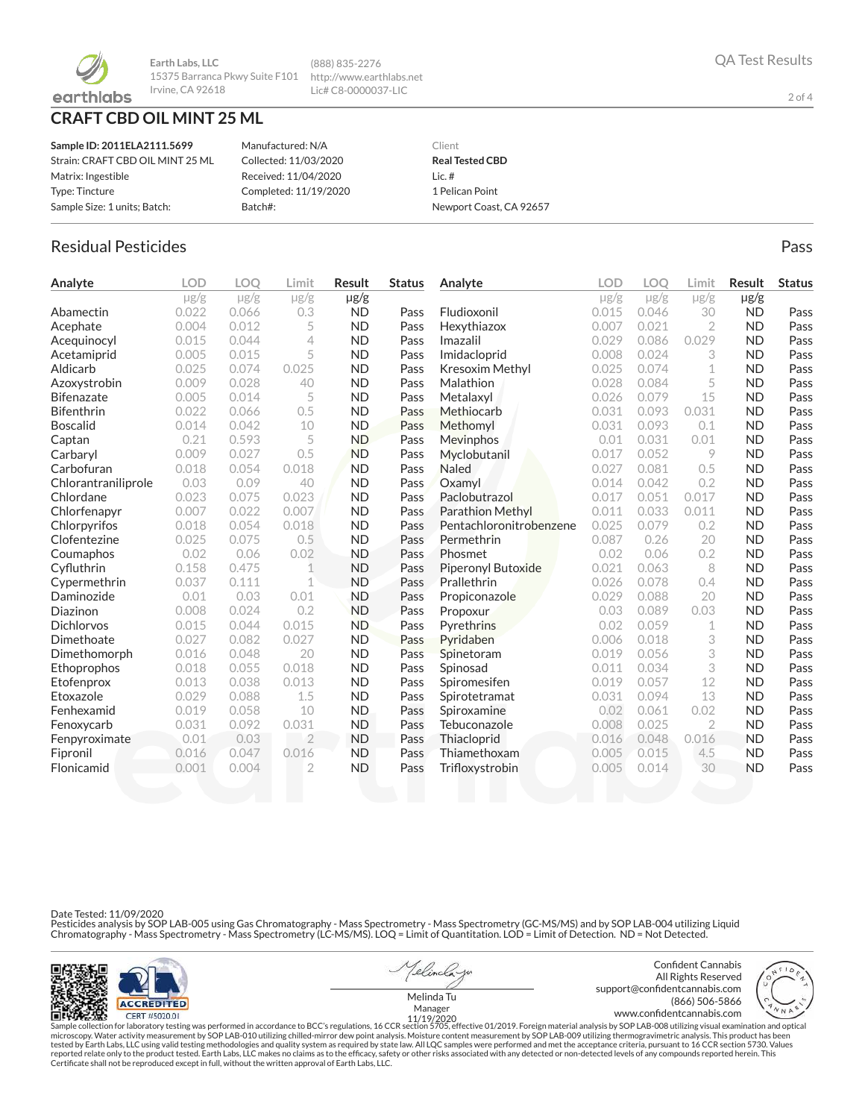

**Earth Labs, LLC** 15375 Barranca Pkwy Suite F101 http://www.earthlabs.net Irvine, CA 92618

# **CRAFT CBD OIL MINT 25 ML**

| Sample ID: 2011ELA2111.5699      | Manufactured: N/A     | Client                  |
|----------------------------------|-----------------------|-------------------------|
| Strain: CRAFT CBD OIL MINT 25 ML | Collected: 11/03/2020 | <b>Real Tested CBD</b>  |
| Matrix: Ingestible               | Received: 11/04/2020  | Lic. $#$                |
| Type: Tincture                   | Completed: 11/19/2020 | 1 Pelican Point         |
| Sample Size: 1 units; Batch:     | Batch#:               | Newport Coast, CA 92657 |

(888) 835-2276 Lic# C8-0000037-LIC

# Residual Pesticides **Passage Community Community Community** Pass Pass Pass

| Analyte             | <b>LOD</b> | <b>LOO</b> | Limit          | Result    | <b>Status</b> | Analyte                   | LOD       | <b>LOO</b> | Limit          | Result    | <b>Status</b> |
|---------------------|------------|------------|----------------|-----------|---------------|---------------------------|-----------|------------|----------------|-----------|---------------|
|                     | $\mu$ g/g  | $\mu$ g/g  | $\mu$ g/g      | µg/g      |               |                           | $\mu$ g/g | $\mu$ g/g  | $\mu$ g/g      | $\mu$ g/g |               |
| Abamectin           | 0.022      | 0.066      | 0.3            | <b>ND</b> | Pass          | Fludioxonil               | 0.015     | 0.046      | 30             | <b>ND</b> | Pass          |
| Acephate            | 0.004      | 0.012      | 5              | <b>ND</b> | Pass          | Hexythiazox               | 0.007     | 0.021      | $\overline{2}$ | <b>ND</b> | Pass          |
| Acequinocyl         | 0.015      | 0.044      | $\overline{4}$ | <b>ND</b> | Pass          | Imazalil                  | 0.029     | 0.086      | 0.029          | <b>ND</b> | Pass          |
| Acetamiprid         | 0.005      | 0.015      | 5              | <b>ND</b> | Pass          | Imidacloprid              | 0.008     | 0.024      | 3              | <b>ND</b> | Pass          |
| Aldicarb            | 0.025      | 0.074      | 0.025          | <b>ND</b> | Pass          | Kresoxim Methyl           | 0.025     | 0.074      | 1              | <b>ND</b> | Pass          |
| Azoxystrobin        | 0.009      | 0.028      | 40             | <b>ND</b> | Pass          | Malathion                 | 0.028     | 0.084      | 5              | <b>ND</b> | Pass          |
| <b>Bifenazate</b>   | 0.005      | 0.014      | 5              | <b>ND</b> | Pass          | Metalaxyl                 | 0.026     | 0.079      | 15             | <b>ND</b> | Pass          |
| <b>Bifenthrin</b>   | 0.022      | 0.066      | 0.5            | <b>ND</b> | Pass          | Methiocarb                | 0.031     | 0.093      | 0.031          | <b>ND</b> | Pass          |
| <b>Boscalid</b>     | 0.014      | 0.042      | 10             | <b>ND</b> | Pass          | Methomyl                  | 0.031     | 0.093      | 0.1            | <b>ND</b> | Pass          |
| Captan              | 0.21       | 0.593      | 5              | <b>ND</b> | Pass          | Mevinphos                 | 0.01      | 0.031      | 0.01           | <b>ND</b> | Pass          |
| Carbaryl            | 0.009      | 0.027      | 0.5            | <b>ND</b> | Pass          | Myclobutanil              | 0.017     | 0.052      | 9              | <b>ND</b> | Pass          |
| Carbofuran          | 0.018      | 0.054      | 0.018          | <b>ND</b> | Pass          | <b>Naled</b>              | 0.027     | 0.081      | 0.5            | <b>ND</b> | Pass          |
| Chlorantraniliprole | 0.03       | 0.09       | 40             | <b>ND</b> | Pass          | Oxamyl                    | 0.014     | 0.042      | 0.2            | <b>ND</b> | Pass          |
| Chlordane           | 0.023      | 0.075      | 0.023          | <b>ND</b> | Pass          | Paclobutrazol             | 0.017     | 0.051      | 0.017          | <b>ND</b> | Pass          |
| Chlorfenapyr        | 0.007      | 0.022      | 0.007          | <b>ND</b> | Pass          | <b>Parathion Methyl</b>   | 0.011     | 0.033      | 0.011          | <b>ND</b> | Pass          |
| Chlorpyrifos        | 0.018      | 0.054      | 0.018          | <b>ND</b> | Pass          | Pentachloronitrobenzene   | 0.025     | 0.079      | 0.2            | <b>ND</b> | Pass          |
| Clofentezine        | 0.025      | 0.075      | 0.5            | <b>ND</b> | Pass          | Permethrin                | 0.087     | 0.26       | 20             | <b>ND</b> | Pass          |
| Coumaphos           | 0.02       | 0.06       | 0.02           | <b>ND</b> | Pass          | Phosmet                   | 0.02      | 0.06       | 0.2            | <b>ND</b> | Pass          |
| Cyfluthrin          | 0.158      | 0.475      | 1              | <b>ND</b> | Pass          | <b>Piperonyl Butoxide</b> | 0.021     | 0.063      | 8              | <b>ND</b> | Pass          |
| Cypermethrin        | 0.037      | 0.111      | 1              | <b>ND</b> | Pass          | Prallethrin               | 0.026     | 0.078      | 0.4            | <b>ND</b> | Pass          |
| Daminozide          | 0.01       | 0.03       | 0.01           | <b>ND</b> | Pass          | Propiconazole             | 0.029     | 0.088      | 20             | <b>ND</b> | Pass          |
| Diazinon            | 0.008      | 0.024      | 0.2            | <b>ND</b> | Pass          | Propoxur                  | 0.03      | 0.089      | 0.03           | <b>ND</b> | Pass          |
| <b>Dichlorvos</b>   | 0.015      | 0.044      | 0.015          | <b>ND</b> | Pass          | Pyrethrins                | 0.02      | 0.059      | 1              | <b>ND</b> | Pass          |
| Dimethoate          | 0.027      | 0.082      | 0.027          | <b>ND</b> | Pass          | Pyridaben                 | 0.006     | 0.018      | 3              | <b>ND</b> | Pass          |
| Dimethomorph        | 0.016      | 0.048      | 20             | <b>ND</b> | Pass          | Spinetoram                | 0.019     | 0.056      | 3              | <b>ND</b> | Pass          |
| Ethoprophos         | 0.018      | 0.055      | 0.018          | <b>ND</b> | Pass          | Spinosad                  | 0.011     | 0.034      | 3              | <b>ND</b> | Pass          |
| Etofenprox          | 0.013      | 0.038      | 0.013          | <b>ND</b> | Pass          | Spiromesifen              | 0.019     | 0.057      | 12             | <b>ND</b> | Pass          |
| Etoxazole           | 0.029      | 0.088      | 1.5            | <b>ND</b> | Pass          | Spirotetramat             | 0.031     | 0.094      | 13             | <b>ND</b> | Pass          |
| Fenhexamid          | 0.019      | 0.058      | 10             | <b>ND</b> | Pass          | Spiroxamine               | 0.02      | 0.061      | 0.02           | <b>ND</b> | Pass          |
| Fenoxycarb          | 0.031      | 0.092      | 0.031          | <b>ND</b> | Pass          | Tebuconazole              | 0.008     | 0.025      | $\overline{2}$ | <b>ND</b> | Pass          |
| Fenpyroximate       | 0.01       | 0.03       | $\overline{2}$ | <b>ND</b> | Pass          | Thiacloprid               | 0.016     | 0.048      | 0.016          | <b>ND</b> | Pass          |
| Fipronil            | 0.016      | 0.047      | 0.016          | <b>ND</b> | Pass          | Thiamethoxam              | 0.005     | 0.015      | 4.5            | <b>ND</b> | Pass          |
| Flonicamid          | 0.001      | 0.004      | $\overline{2}$ | <b>ND</b> | Pass          | Trifloxystrobin           | 0.005     | 0.014      | 30             | <b>ND</b> | Pass          |
|                     |            |            |                |           |               |                           |           |            |                |           |               |

Date Tested: 11/09/2020

Pesticides analysis by SOP LAB-005 using Gas Chromatography - Mass Spectrometry - Mass Spectrometry (GC-MS/MS) and by SOP LAB-004 utilizing Liquid<br>Chromatography - Mass Spectrometry - Mass Spectrometry (LC-MS/MS). LOQ = Li



Telinclayo

Confident Cannabis All Rights Reserved support@confidentcannabis.com (866) 506-5866



www.condentcannabis.com Manager 11/19/2020Melinda Tu

Sample collection for laboratory testing was performed in accordance to BCC's regulations, 16 CCR section 5705, effective 01/2019. Foreign material analysis by SOP LAB-008 utilizing visual examination and optical fissure o

2 of 4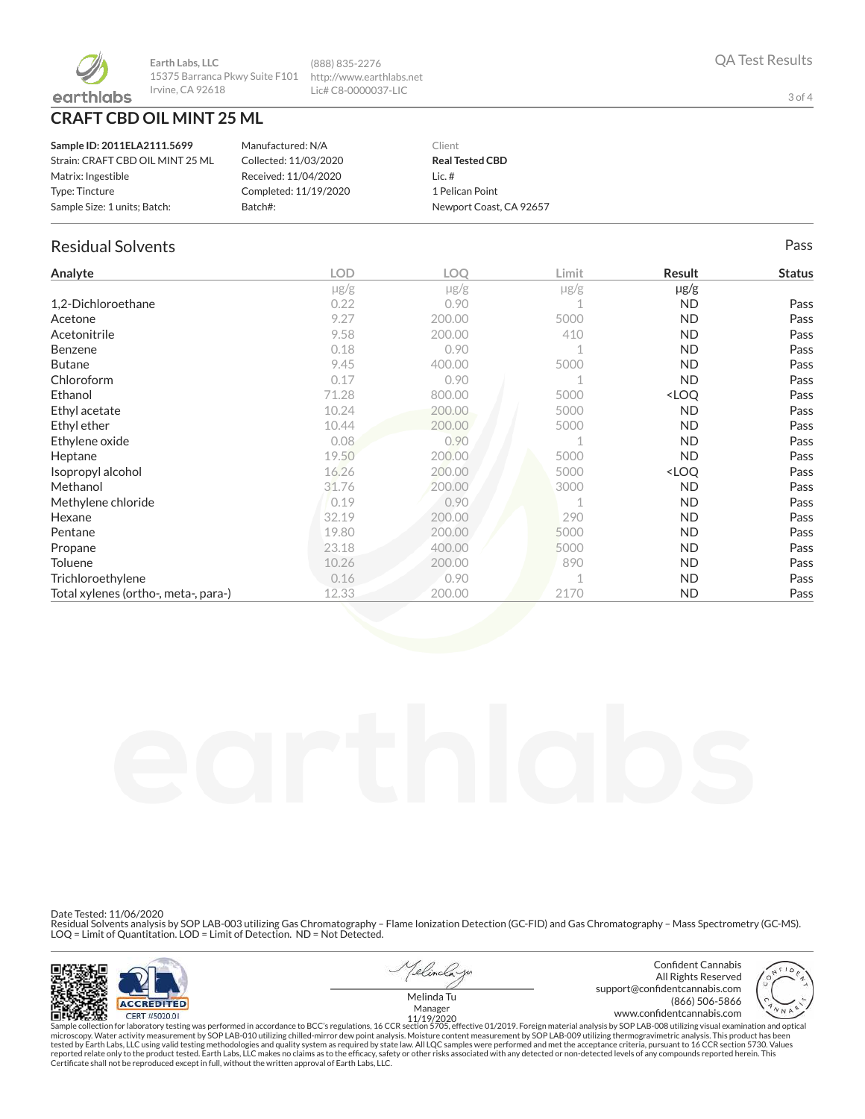

**Earth Labs, LLC** 15375 Barranca Pkwy Suite F101 Irvine, CA 92618 http://www.earthlabs.net

## **CRAFT CBD OIL MINT 25 ML**

| Sample ID: 2011ELA2111.5699      | Manufactured: N/A     | Client                  |
|----------------------------------|-----------------------|-------------------------|
| Strain: CRAFT CBD OIL MINT 25 ML | Collected: 11/03/2020 | <b>Real Tested CBD</b>  |
| Matrix: Ingestible               | Received: 11/04/2020  | $lic.$ #                |
| Type: Tincture                   | Completed: 11/19/2020 | 1 Pelican Point         |
| Sample Size: 1 units; Batch:     | Batch#:               | Newport Coast, CA 92657 |

(888) 835-2276

Lic# C8-0000037-LIC

### Residual Solvents Pass

| Analyte                              | <b>LOD</b> | <b>LOQ</b> | Limit     | Result                           | <b>Status</b> |
|--------------------------------------|------------|------------|-----------|----------------------------------|---------------|
|                                      | $\mu$ g/g  | $\mu$ g/g  | $\mu$ g/g | $\mu$ g/g                        |               |
| 1,2-Dichloroethane                   | 0.22       | 0.90       |           | ND.                              | Pass          |
| Acetone                              | 9.27       | 200.00     | 5000      | ND.                              | Pass          |
| Acetonitrile                         | 9.58       | 200.00     | 410       | ND.                              | Pass          |
| Benzene                              | 0.18       | 0.90       |           | <b>ND</b>                        | Pass          |
| <b>Butane</b>                        | 9.45       | 400.00     | 5000      | ND.                              | Pass          |
| Chloroform                           | 0.17       | 0.90       |           | ND.                              | Pass          |
| Ethanol                              | 71.28      | 800.00     | 5000      | <loq< td=""><td>Pass</td></loq<> | Pass          |
| Ethyl acetate                        | 10.24      | 200.00     | 5000      | ND.                              | Pass          |
| Ethyl ether                          | 10.44      | 200.00     | 5000      | ND.                              | Pass          |
| Ethylene oxide                       | 0.08       | 0.90       |           | ND.                              | Pass          |
| Heptane                              | 19.50      | 200.00     | 5000      | <b>ND</b>                        | Pass          |
| Isopropyl alcohol                    | 16.26      | 200.00     | 5000      | <loq< td=""><td>Pass</td></loq<> | Pass          |
| Methanol                             | 31.76      | 200.00     | 3000      | <b>ND</b>                        | Pass          |
| Methylene chloride                   | 0.19       | 0.90       |           | ND.                              | Pass          |
| Hexane                               | 32.19      | 200.00     | 290       | ND.                              | Pass          |
| Pentane                              | 19.80      | 200.00     | 5000      | ND.                              | Pass          |
| Propane                              | 23.18      | 400.00     | 5000      | ND.                              | Pass          |
| <b>Toluene</b>                       | 10.26      | 200.00     | 890       | <b>ND</b>                        | Pass          |
| Trichloroethylene                    | 0.16       | 0.90       |           | ND.                              | Pass          |
| Total xylenes (ortho-, meta-, para-) | 12.33      | 200.00     | 2170      | <b>ND</b>                        | Pass          |

Date Tested: 11/06/2020

Residual Solvents analysis by SOP LAB-003 utilizing Gas Chromatography – Flame Ionization Detection (GC-FID) and Gas Chromatography – Mass Spectrometry (GC-MS).<br>LOQ = Limit of Quantitation. LOD = Limit of Detection. ND = N



1elincla w





Melinda Tu

Sample collection for laboratory testing was performed in accordance to BCC's regulations, 16 CCR section 5705, effective 01/2019. Foreign material analysis by SOP LAB-008 utilizing visual examination and optical fissure o

3 of 4